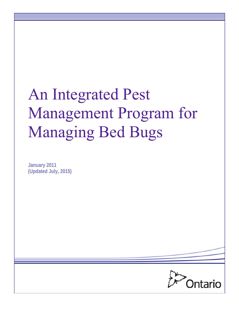# An Integrated Pest Management Program for Managing Bed Bugs

**January 2011 (Updated July, 2015)**

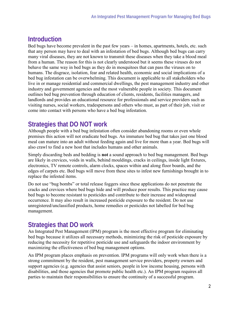# **Introduction**

Bed bugs have become prevalent in the past few years – in homes, apartments, hotels, etc. such that any person may have to deal with an infestation of bed bugs. Although bed bugs can carry many viral diseases, they are not known to transmit these diseases when they take a blood meal from a human. The reason for this is not clearly understood but it seems these viruses do not behave the same way in bed bugs as they do in mosquitoes that can pass the viruses on to humans. The disgrace, isolation, fear and related health, economic and social implications of a bed bug infestation can be overwhelming. This document is applicable to all stakeholders who live in or manage residential and commercial dwellings, the pest management industry and other industry and government agencies and the most vulnerable people in society. This document outlines bed bug prevention through education of clients, residents, facilities managers, and landlords and provides an educational resource for professionals and service providers such as visiting nurses, social workers, tradespersons and others who must, as part of their job, visit or come into contact with persons who have a bed bug infestation.

# **Strategies that DO NOT work**

Although people with a bed bug infestation often consider abandoning rooms or even whole premises this action will not eradicate bed bugs. An immature bed bug that takes just one blood meal can mature into an adult without feeding again and live for more than a year. Bed bugs will also crawl to find a new host that includes humans and other animals.

Simply discarding beds and bedding is **not** a sound approach to bed bug management. Bed bugs are likely in crevices, voids in walls, behind mouldings, cracks in ceilings, inside light fixtures, electronics, TV remote controls, alarm clocks, spaces within and along floor boards, and the edges of carpets etc. Bed bugs will move from these sites to infest new furnishings brought in to replace the infested items.

Do not use "bug bombs" or total release foggers since these applications do not penetrate the cracks and crevices where bed bugs hide and will produce poor results. This practice may cause bed bugs to become resistant to pesticides and contribute to their increase and widespread occurrence. It may also result in increased pesticide exposure to the resident. Do not use unregistered/unclassified products, home remedies or pesticides not labelled for bed bug management.

# **Strategies that DO work**

An Integrated Pest Management (IPM) program is the most effective program for eliminating bed bugs because it utilizes all necessary methods, minimizing the risk of pesticide exposure by reducing the necessity for repetitive pesticide use and safeguards the indoor environment by maximizing the effectiveness of bed bug management options.

An IPM program places emphasis on prevention. IPM programs will only work when there is a strong commitment by the resident, pest management service providers, property owners and support agencies (e.g. agencies that assist seniors, people in low income housing, persons with disabilities, and those agencies that promote public health etc.). An IPM program requires all parties to maintain their responsibilities to ensure the continuity of a successful program.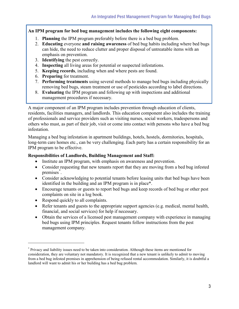#### **An IPM program for bed bug management includes the following eight components:**

- 1. **Planning** the IPM program preferably before there is a bed bug problem.
- 2. **Educating** everyone **and raising awareness** of bed bug habits including where bed bugs can hide, the need to reduce clutter and proper disposal of untreatable items with an emphasis on prevention.
- 3. **Identifying** the pest correctly.
- 4. **Inspecting** all living areas for potential or suspected infestations.
- 5. **Keeping records**, including when and where pests are found.
- 6. **Preparing** for treatment.
- 7. **Performing treatments** using several methods to manage bed bugs including physically removing bed bugs, steam treatment or use of pesticides according to label directions.
- 8. **Evaluating** the IPM program and following up with inspections and additional management procedures if necessary.

A major component of an IPM program includes prevention through education of clients, residents, facilities managers, and landlords. This education component also includes the training of professionals and service providers such as visiting nurses, social workers, tradespersons and others who must, as part of their job, visit or come into contact with persons who have a bed bug infestation.

Managing a bed bug infestation in apartment buildings, hotels, hostels, dormitories, hospitals, long-term care homes etc., can be very challenging. Each party has a certain responsibility for an IPM program to be effective.

#### **Responsibilities of Landlords, Building Management and Staff:**

- Institute an IPM program, with emphasis on awareness and prevention.
- <span id="page-2-0"></span>• Consider requesting that new tenants report that they are moving from a bed bug infested premises[\\*](#page-2-1) .
- Consider acknowledging to potential tenants before leasing units that bed bugs have been identified in the building and an IPM program is in plac[e\\*.](#page-2-0)
- Encourage tenants or guests to report bed bugs and keep records of bed bug or other pest complaints on site in a log book.
- Respond quickly to all complaints.
- Refer tenants and guests to the appropriate support agencies (e.g. medical, mental health, financial, and social services) for help if necessary.
- Obtain the services of a licensed pest management company with experience in managing bed bugs using IPM principles. Request tenants follow instructions from the pest management company.

<span id="page-2-1"></span><sup>\*</sup> Privacy and liability issues need to be taken into consideration. Although these items are mentioned for consideration, they are voluntary not mandatory. It is recognized that a new tenant is unlikely to admit to moving from a bed bug infested premises in apprehension of being refused rental accommodation. Similarly, it is doubtful a landlord will want to admit his or her building has a bed bug problem.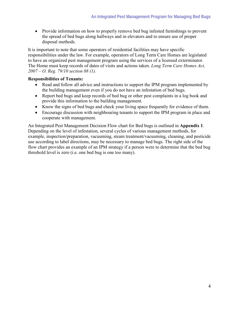• Provide information on how to properly remove bed bug infested furnishings to prevent the spread of bed bugs along hallways and in elevators and to ensure use of proper disposal methods.

It is important to note that some operators of residential facilities may have specific responsibilities under the law. For example, operators of Long Term Care Homes are legislated to have an organized pest management program using the services of a licensed exterminator. The Home must keep records of dates of visits and actions taken. *Long Term Care Homes Act, 2007 – O. Reg. 79/10 section 88 (1).*

#### **Responsibilities of Tenants:**

- Read and follow all advice and instructions to support the IPM program implemented by the building management even if you do not have an infestation of bed bugs.
- Report bed bugs and keep records of bed bug or other pest complaints in a log book and provide this information to the building management.
- Know the signs of bed bugs and check your living space frequently for evidence of them.
- Encourage discussion with neighbouring tenants to support the IPM program in place and cooperate with management.

An Integrated Pest Management Decision Flow chart for Bed bugs is outlined in **Appendix 1**. Depending on the level of infestation, several cycles of various management methods, for example, inspection/preparation, vacuuming, steam treatment/vacuuming, cleaning, and pesticide use according to label directions, may be necessary to manage bed bugs. The right side of the flow chart provides an example of an IPM strategy if a person were to determine that the bed bug threshold level is zero (i.e. one bed bug is one too many).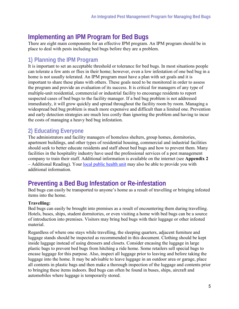# **Implementing an IPM Program for Bed Bugs**

There are eight main components for an effective IPM program. An IPM program should be in place to deal with pests including bed bugs before they are a problem.

## **1) Planning the IPM Program**

It is important to set an acceptable threshold or tolerance for bed bugs. In most situations people can tolerate a few ants or flies in their home; however, even a low infestation of one bed bug in a home is not usually tolerated. An IPM program must have a plan with set goals and it is important to share these plans with others. These goals need to be monitored in order to assess the program and provide an evaluation of its success. It is critical for managers of any type of multiple-unit residential, commercial or industrial facility to encourage residents to report suspected cases of bed bugs to the facility manager. If a bed bug problem is not addressed immediately, it will grow quickly and spread throughout the facility room by room. Managing a widespread bed bug problem is much more expensive and difficult than a limited one. Prevention and early detection strategies are much less costly than ignoring the problem and having to incur the costs of managing a heavy bed bug infestation.

## **2) Educating Everyone**

The administrators and facility managers of homeless shelters, group homes, dormitories, apartment buildings, and other types of residential housing, commercial and industrial facilities should seek to better educate residents and staff about bed bugs and how to prevent them. Many facilities in the hospitality industry have used the professional services of a pest management company to train their staff. Additional information is available on the internet (see **Appendix 2** – Additional Reading). Your [local public health unit](http://www.health.gov.on.ca/en/common/system/services/phu/) may also be able to provide you with additional information.

# **Preventing a Bed Bug Infestation or Re-infestation**

Bed bugs can easily be transported to anyone's home as a result of travelling or bringing infested items into the home.

#### **Travelling:**

Bed bugs can easily be brought into premises as a result of encountering them during travelling. Hotels, buses, ships, student dormitories, or even visiting a home with bed bugs can be a source of introduction into premises. Visitors may bring bed bugs with their luggage or other infested material.

Regardless of where one stays while travelling, the sleeping quarters, adjacent furniture and luggage stands should be inspected as recommended in this document. Clothing should be kept inside luggage instead of using dressers and closets. Consider encasing the luggage in large plastic bags to prevent bed bugs from hitching a ride home. Some retailers sell special bags to encase luggage for this purpose. Also, inspect all luggage prior to leaving and before taking the luggage into the home. It may be advisable to leave luggage in an outdoor area or garage, place all contents in plastic bags and then make a thorough inspection of the luggage and contents prior to bringing these items indoors. Bed bugs can often be found in buses, ships, aircraft and automobiles where luggage is temporarily stored.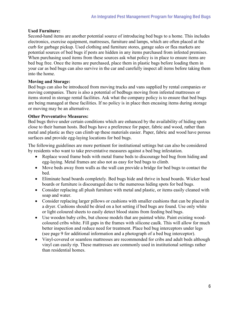#### **Used Furniture:**

Second-hand items are another potential source of introducing bed bugs to a home. This includes electronics, exercise equipment, mattresses, furniture and lamps, which are often placed at the curb for garbage pickup. Used clothing and furniture stores, garage sales or flea markets are potential sources of bed bugs if pests are hidden in any items purchased from infested premises. When purchasing used items from these sources ask what policy is in place to ensure items are bed bug free. Once the items are purchased, place them in plastic bags before loading them in your car as bed bugs can also survive in the car and carefully inspect all items before taking them into the home.

#### **Moving and Storage:**

Bed bugs can also be introduced from moving trucks and vans supplied by rental companies or moving companies. There is also a potential of bedbugs moving from infested mattresses or items stored in storage rental facilities. Ask what the company policy is to ensure that bed bugs are being managed at these facilities. If no policy is in place then encasing items during storage or moving may be an alternative.

#### **Other Preventative Measures:**

Bed bugs thrive under certain conditions which are enhanced by the availability of hiding spots close to their human hosts. Bed bugs have a preference for paper, fabric and wood, rather than metal and plastic as they can climb up these materials easier. Paper, fabric and wood have porous surfaces and provide egg-laying locations for bed bugs.

The following guidelines are more pertinent for institutional settings but can also be considered by residents who want to take preventative measures against a bed bug infestation.

- Replace wood frame beds with metal frame beds to discourage bed bug from hiding and egg-laying. Metal frames are also not as easy for bed bugs to climb.
- Move beds away from walls as the wall can provide a bridge for bed bugs to contact the bed.
- Eliminate head boards completely. Bed bugs hide and thrive in head boards. Wicker head boards or furniture is discouraged due to the numerous hiding spots for bed bugs.
- Consider replacing all plush furniture with metal and plastic, or items easily cleaned with soap and water.
- Consider replacing larger pillows or cushions with smaller cushions that can be placed in a dryer. Cushions should be dried on a hot setting if bed bugs are found. Use only white or light coloured sheets to easily detect blood stains from feeding bed bugs.
- Use wooden baby cribs, but choose models that are painted white. Paint existing woodcoloured cribs white. Fill gaps in the frames with silicone caulk. This will allow for much better inspection and reduce need for treatment. Place bed bug interceptors under legs (see page 9 for additional information and a photograph of a bed bug interceptor).
- Vinyl-covered or seamless mattresses are recommended for cribs and adult beds although vinyl can easily rip. These mattresses are commonly used in institutional settings rather than residential homes.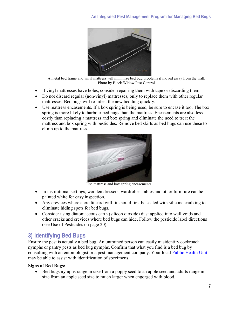

A metal bed frame and vinyl mattress will minimize bed bug problems if moved away from the wall. Photo by Black Widow Pest Control

- If vinyl mattresses have holes, consider repairing them with tape or discarding them.
- Do not discard regular (non-vinyl) mattresses, only to replace them with other regular mattresses. Bed bugs will re-infest the new bedding quickly.
- Use mattress encasements. If a box spring is being used, be sure to encase it too. The box spring is more likely to harbour bed bugs than the mattress. Encasements are also less costly than replacing a mattress and box spring and eliminate the need to treat the mattress and box spring with pesticides. Remove bed skirts as bed bugs can use these to climb up to the mattress.



Use mattress and box spring encasements.

- In institutional settings, wooden dressers, wardrobes, tables and other furniture can be painted white for easy inspection.
- Any crevices where a credit card will fit should first be sealed with silicone caulking to eliminate hiding spots for bed bugs.
- Consider using diatomaceous earth (silicon dioxide) dust applied into wall voids and other cracks and crevices where bed bugs can hide. Follow the pesticide label directions (see Use of Pesticides on page 20).

## **3) Identifying Bed Bugs**

Ensure the pest is actually a bed bug. An untrained person can easily misidentify cockroach nymphs or pantry pests as bed bug nymphs. Confirm that what you find is a bed bug by consulting with an entomologist or a pest management company. Your local [Public Health Unit](http://www.health.gov.on.ca/en/common/system/services/phu/locations.aspx) may be able to assist with identification of specimens.

#### **Signs of Bed Bugs:**

• Bed bugs nymphs range in size from a poppy seed to an apple seed and adults range in size from an apple seed size to much larger when engorged with blood.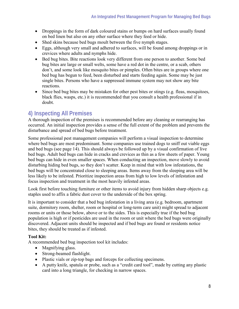- Droppings in the form of dark coloured stains or bumps on hard surfaces usually found on bed linen but also on any other surface where they feed or hide.
- Shed skins because bed bugs moult between the five nymph stages.
- Eggs, although very small and adhered to surfaces, will be found among droppings or in crevices where adults and nymphs hide.
- Bed bug bites. Bite reactions look very different from one person to another. Some bed bug bites are large or small welts, some have a red dot in the centre, or a scab, others don't, and some look like mosquito bites or pimples. Often bites are in groups where one bed bug has begun to feed, been disturbed and starts feeding again. Some may be just single bites. Persons who have a suppressed immune system may not show any bite reactions.
- Since bed bug bites may be mistaken for other pest bites or stings (e.g. fleas, mosquitoes, black flies, wasps, etc.) it is recommended that you consult a health professional if in doubt.

## **4) Inspecting All Premises**

A thorough inspection of the premises is recommended before any cleaning or rearranging has occurred. An initial inspection provides a sense of the full extent of the problem and prevents the disturbance and spread of bed bugs before treatment.

Some professional pest management companies will perform a visual inspection to determine where bed bugs are most predominant. Some companies use trained dogs to sniff out viable eggs and bed bugs (see page 14). This should always be followed up by a visual confirmation of live bed bugs. Adult bed bugs can hide in cracks and crevices as thin as a few sheets of paper. Young bed bugs can hide in even smaller spaces. When conducting an inspection, move slowly to avoid disturbing hiding bed bugs, so they don't scatter. Keep in mind that with low infestations, the bed bugs will be concentrated close to sleeping areas. Items away from the sleeping area will be less likely to be infested. Prioritize inspection areas from high to low levels of infestation and focus inspection and treatment in the most heavily infested areas.

Look first before touching furniture or other items to avoid injury from hidden sharp objects e.g. staples used to affix a fabric dust cover to the underside of the box spring.

It is important to consider that a bed bug infestation in a living area (e.g. bedroom, apartment suite, dormitory room, shelter, room or hospital or long-term care unit) might spread to adjacent rooms or units or those below, above or to the sides. This is especially true if the bed bug population is high or if pesticides are used in the room or unit where the bed bugs were originally discovered. Adjacent units should be inspected and if bed bugs are found or residents notice bites, they should be treated as if infested.

#### **Tool Kit:**

A recommended bed bug inspection tool kit includes:

- Magnifying glass.
- Strong-beamed flashlight.
- Plastic vials or zip-top bags and forceps for collecting specimens.
- A putty knife, spatula or probe, such as a "credit card tool", made by cutting any plastic card into a long triangle, for checking in narrow spaces.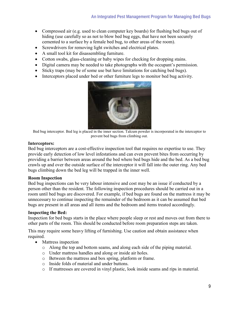- Compressed air (e.g. used to clean computer key boards) for flushing bed bugs out of hiding (use carefully so as not to blow bed bug eggs, that have not been securely cemented to a surface by a female bed bug, to other areas of the room).
- Screwdrivers for removing light switches and electrical plates.
- A small tool kit for disassembling furniture.
- Cotton swabs, glass-cleaning or baby wipes for checking for dropping stains.
- Digital camera may be needed to take photographs with the occupant's permission.
- Sticky traps (may be of some use but have limitations for catching bed bugs).
- Interceptors placed under bed or other furniture legs to monitor bed bug activity.



Bed bug interceptor. Bed leg is placed in the inner section. Talcum powder is incorporated in the interceptor to prevent bed bugs from climbing out.

#### **Interceptors:**

Bed bug interceptors are a cost-effective inspection tool that requires no expertise to use. They provide early detection of low level infestations and can even prevent bites from occurring by providing a barrier between areas around the bed where bed bugs hide and the bed. As a bed bug crawls up and over the outside surface of the interceptor it will fall into the outer ring. Any bed bugs climbing down the bed leg will be trapped in the inner well.

#### **Room Inspection**

Bed bug inspections can be very labour intensive and cost may be an issue if conducted by a person other than the resident. The following inspection procedures should be carried out in a room until bed bugs are discovered. For example, if bed bugs are found on the mattress it may be unnecessary to continue inspecting the remainder of the bedroom as it can be assumed that bed bugs are present in all areas and all items and the bedroom and items treated accordingly.

#### **Inspecting the Bed:**

Inspection for bed bugs starts in the place where people sleep or rest and moves out from there to other parts of the room. This should be conducted before room preparation steps are taken.

This may require some heavy lifting of furnishing. Use caution and obtain assistance when required.

- Mattress inspection
	- o Along the top and bottom seams, and along each side of the piping material.
	- o Under mattress handles and along or inside air holes.
	- o Between the mattress and box spring, platform or frame.
	- o Inside folds of material and under buttons.
	- o If mattresses are covered in vinyl plastic, look inside seams and rips in material.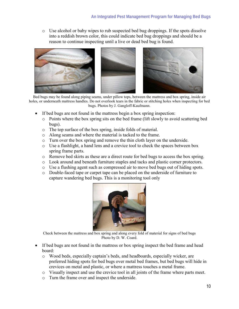$\circ$  Use alcohol or baby wipes to rub suspected bed bug droppings. If the spots dissolve into a reddish brown color, this could indicate bed bug droppings and should be a reason to continue inspecting until a live or dead bed bug is found.



Bed bugs may be found along piping seams, under pillow tops, between the mattress and box spring, inside air holes, or underneath mattress handles. Do not overlook tears in the fabric or stitching holes when inspecting for bed bugs. Photos by J. Gangloff-Kaufmann.

- If bed bugs are not found in the mattress begin a box spring inspection:
	- $\circ$  Points where the box spring sits on the bed frame (lift slowly to avoid scattering bed bugs).
	- o The top surface of the box spring, inside folds of material.
	- o Along seams and where the material is tacked to the frame.
	- o Turn over the box spring and remove the thin cloth layer on the underside.
	- o Use a flashlight, a hand lens and a crevice tool to check the spaces between box spring frame parts.
	- o Remove bed skirts as these are a direct route for bed bugs to access the box spring.
	- o Look around and beneath furniture staples and tacks and plastic corner protectors.
	- o Use a flushing agent such as compressed air to move bed bugs out of hiding spots.
	- o Double-faced tape or carpet tape can be placed on the underside of furniture to capture wandering bed bugs. This is a monitoring tool only



Check between the mattress and box spring and along every fold of material for signs of bed bugs Photo by D. W. Coard.

- If bed bugs are not found in the mattress or box spring inspect the bed frame and head board:
	- o Wood beds, especially captain's beds, and headboards, especially wicker, are preferred hiding spots for bed bugs over metal bed frames, but bed bugs will hide in crevices on metal and plastic, or where a mattress touches a metal frame.
	- o Visually inspect and use the crevice tool in all joints of the frame where parts meet.
	- o Turn the frame over and inspect the underside.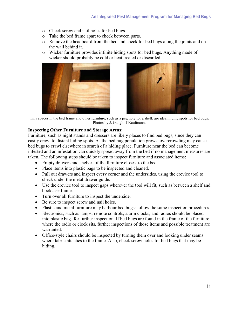- o Check screw and nail holes for bed bugs.
- o Take the bed frame apart to check between parts.
- o Remove the headboard from the bed and check for bed bugs along the joints and on the wall behind it.
- o Wicker furniture provides infinite hiding spots for bed bugs. Anything made of wicker should probably be cold or heat treated or discarded.





Tiny spaces in the bed frame and other furniture, such as a peg hole for a shelf, are ideal hiding spots for bed bugs. Photos by J. Gangloff-Kaufmann.

#### **Inspecting Other Furniture and Storage Areas:**

Furniture, such as night stands and dressers are likely places to find bed bugs, since they can easily crawl to distant hiding spots. As the bed bug population grows, overcrowding may cause bed bugs to crawl elsewhere in search of a hiding place. Furniture near the bed can become infested and an infestation can quickly spread away from the bed if no management measures are taken. The following steps should be taken to inspect furniture and associated items:

- Empty drawers and shelves of the furniture closest to the bed.
- Place items into plastic bags to be inspected and cleaned.
- Pull out drawers and inspect every corner and the undersides, using the crevice tool to check under the metal drawer guide.
- Use the crevice tool to inspect gaps wherever the tool will fit, such as between a shelf and bookcase frame.
- Turn over all furniture to inspect the underside.
- Be sure to inspect screw and nail holes.
- Plastic and metal furniture may harbour bed bugs: follow the same inspection procedures.
- Electronics, such as lamps, remote controls, alarm clocks, and radios should be placed into plastic bags for further inspection. If bed bugs are found in the frame of the furniture where the radio or clock sits, further inspections of those items and possible treatment are warranted.
- Office-style chairs should be inspected by turning them over and looking under seams where fabric attaches to the frame. Also, check screw holes for bed bugs that may be hiding.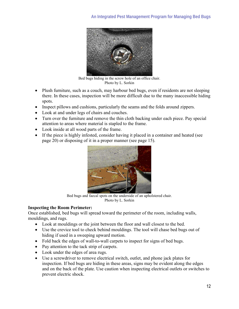

Bed bugs hiding in the screw hole of an office chair. Photo by L. Sorkin

- Plush furniture, such as a couch, may harbour bed bugs, even if residents are not sleeping there. In these cases, inspection will be more difficult due to the many inaccessible hiding spots.
- Inspect pillows and cushions, particularly the seams and the folds around zippers.
- Look at and under legs of chairs and couches.
- Turn over the furniture and remove the thin cloth backing under each piece. Pay special attention to areas where material is stapled to the frame.
- Look inside at all wood parts of the frame.
- If the piece is highly infested, consider having it placed in a container and heated (see page 20) or disposing of it in a proper manner (see page 15).



Bed bugs and faecal spots on the underside of an upholstered chair. Photo by L. Sorkin

#### **Inspecting the Room Perimeter:**

Once established, bed bugs will spread toward the perimeter of the room, including walls, mouldings, and rugs.

- Look at mouldings or the joint between the floor and wall closest to the bed.
- Use the crevice tool to check behind mouldings. The tool will chase bed bugs out of hiding if used in a sweeping upward motion.
- Fold back the edges of wall-to-wall carpets to inspect for signs of bed bugs.
- Pay attention to the tack strip of carpets.
- Look under the edges of area rugs.
- Use a screwdriver to remove electrical switch, outlet, and phone jack plates for inspection. If bed bugs are hiding in these areas, signs may be evident along the edges and on the back of the plate. Use caution when inspecting electrical outlets or switches to prevent electric shock.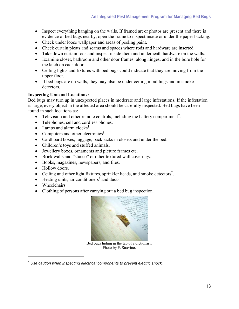- Inspect everything hanging on the walls. If framed art or photos are present and there is evidence of bed bugs nearby, open the frame to inspect inside or under the paper backing.
- Check under loose wallpaper and areas of peeling paint.
- Check curtain pleats and seams and spaces where rods and hardware are inserted.
- Take down curtain rods and inspect inside them and underneath hardware on the walls.
- Examine closet, bathroom and other door frames, along hinges, and in the bore hole for the latch on each door.
- Ceiling lights and fixtures with bed bugs could indicate that they are moving from the upper floor.
- If bed bugs are on walls, they may also be under ceiling mouldings and in smoke detectors.

#### **Inspecting Unusual Locations:**

Bed bugs may turn up in unexpected places in moderate and large infestations. If the infestation is large, every object in the affected area should be carefully inspected. Bed bugs have been found in such locations as:

- Television and other remote controls, including the battery compartment<sup>[†](#page-12-1)</sup>.
- Telephones, cell and cordless phones.
- Lamps and alarm clocks<sup>[†](#page-12-0)</sup>.
- Computers and other electronics<sup>[†](#page-12-0)</sup>.
- Cardboard boxes, luggage, backpacks in closets and under the bed.
- Children's toys and stuffed animals.
- Jewellery boxes, ornaments and picture frames etc.
- Brick walls and "stucco" or other textured wall coverings.
- Books, magazines, newspapers, and files.
- Hollow doors.
- Ceiling and other light fixtures, sprinkler heads, and smoke detectors<sup>[†](#page-12-0)</sup>.
- •Heating units, air conditioners<sup>†</sup> and ducts.
- Wheelchairs.

 $\overline{a}$ 

• Clothing of persons after carrying out a bed bug inspection.

<span id="page-12-0"></span>

Bed bugs hiding in the tab of a dictionary. Photo by P. Stravino.

<span id="page-12-1"></span><sup>†</sup> *Use caution when inspecting electrical components to prevent electric shock.*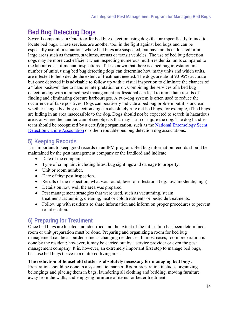# **Bed Bug Detecting Dogs**

Several companies in Ontario offer bed bug detection using dogs that are specifically trained to locate bed bugs. These services are another tool in the fight against bed bugs and can be especially useful in situations where bed bugs are suspected, but have not been located or in large areas such as theatres, stadiums, arenas or transit vehicles. The use of bed bug detection dogs may be more cost efficient when inspecting numerous multi-residential units compared to the labour costs of manual inspections. If it is known that there is a bed bug infestation in a number of units, using bed bug detecting dogs can determine how many units and which units, are infested to help decide the extent of treatment needed. The dogs are about 90-95% accurate but once detected it is advisable to follow up with a visual inspection to eliminate the chances of a "false positive" due to handler interpretation error. Combining the services of a bed bug detection dog with a trained pest management professional can lead to immediate results of finding and eliminating obscure harbourages. A two-dog system is often used to reduce the occurrence of false positives. Dogs can positively indicate a bed bug problem but it is unclear whether using a bed bug detection dog can absolutely rule out bed bugs, for example, if bed bugs are hiding in an area inaccessible to the dog. Dogs should not be expected to search in hazardous areas or where the handler cannot see objects that may harm or injure the dog. The dog handler team should be recognized by a certifying organization, such as the [National Entomology Scent](http://www.nesdca.com/)  [Detection Canine Association](http://www.nesdca.com/) or other reputable bed bug detection dog associations.

## **5) Keeping Records**

It is important to keep good records in an IPM program. Bed bug information records should be maintained by the pest management company or the landlord and indicate:

- Date of the complaint.
- Type of complaint including bites, bug sightings and damage to property.
- Unit or room number.
- Date of first pest inspection.
- Results of the inspection, what was found, level of infestation (e.g. low, moderate, high).
- Details on how well the area was prepared.
- Pest management strategies that were used, such as vacuuming, steam treatment/vacuuming, cleaning, heat or cold treatments or pesticide treatments.
- Follow up with residents to share information and inform on proper procedures to prevent re-infestation.

## **6) Preparing for Treatment**

Once bed bugs are located and identified and the extent of the infestation has been determined, room or unit preparation must be done. Preparing and organizing a room for bed bug management can be as burdensome as changing residences. In most cases, room preparation is done by the resident; however, it may be carried out by a service provider or even the pest management company. It is, however, an extremely important first step to manage bed bugs, because bed bugs thrive in a cluttered living area.

#### **The reduction of household clutter is absolutely necessary for managing bed bugs.**

Preparation should be done in a systematic manner. Room preparation includes organizing belongings and placing them in bags, laundering all clothing and bedding, moving furniture away from the walls, and emptying furniture of items for better treatment.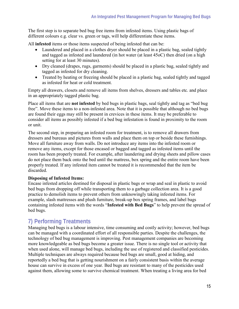The first step is to separate bed bug free items from infested items. Using plastic bags of different colours e.g. clear vs. green or tags, will help differentiate these items.

All **infested** items or those items suspected of being infested that can be:

- Laundered and placed in a clothes dryer should be placed in a plastic bag, sealed tightly and tagged as infested and laundered (in hot water (at least 45oC) then dried (on a high setting for at least 30 minutes).
- Dry cleaned (drapes, rugs, garments) should be placed in a plastic bag, sealed tightly and tagged as infested for dry cleaning.
- Treated by heating or freezing should be placed in a plastic bag, sealed tightly and tagged as infested for heat or cold treatment.

Empty all drawers, closets and remove all items from shelves, dressers and tables etc. and place in an appropriately tagged plastic bag.

Place all items that are **not infested** by bed bugs in plastic bags, seal tightly and tag as "bed bug free". Move these items to a non-infested area. Note that it is possible that although no bed bugs are found their eggs may still be present in crevices in these items. It may be preferable to consider all items as possibly infested if a bed bug infestation is found in proximity to the room or unit.

The second step, in preparing an infested room for treatment, is to remove all drawers from dressers and bureaus and pictures from walls and place them on top or beside these furnishings. Move all furniture away from walls. Do not introduce any items into the infested room or remove any items, except for those encased or bagged and tagged as infested items until the room has been properly treated. For example, after laundering and drying sheets and pillow cases do not place them back onto the bed until the mattress, box spring and the entire room have been properly treated. If any infested item cannot be treated it is recommended that the item be discarded.

#### **Disposing of Infested Items:**

Encase infested articles destined for disposal in plastic bags or wrap and seal in plastic to avoid bed bugs from dropping off while transporting them to a garbage collection area. It is a good practice to demolish items to prevent others from unknowingly taking infested items. For example, slash mattresses and plush furniture, break-up box spring frames, and label bags containing infested items with the words "**Infested with Bed Bugs**" to help prevent the spread of bed bugs.

## **7) Performing Treatments**

Managing bed bugs is a labour intensive, time consuming and costly activity; however, bed bugs can be managed with a coordinated effort of all responsible parties. Despite the challenges, the technology of bed bug management is improving. Pest management companies are becoming more knowledgeable as bed bugs become a greater issue. There is no single tool or activity that when used alone, will manage bed bugs, including the use of registered and classified pesticides. Multiple techniques are always required because bed bugs are small, good at hiding, and reportedly a bed bug that is getting nourishment on a fairly consistent basis within the average house can survive in excess of one year. Bed bugs are resistant to many of the pesticides used against them, allowing some to survive chemical treatment. When treating a living area for bed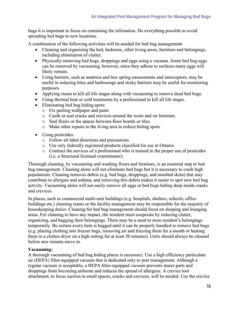bugs it is important to focus on containing the infestation. Do everything possible to avoid spreading bed bugs to new locations.

A combination of the following activities will be needed for bed bug management:

- Cleaning and organizing the bed, bedroom, other living areas, furniture and belongings, including elimination of clutter.
- Physically removing bed bugs, droppings and eggs using a vacuum. Some bed bug eggs can be removed by vacuuming, however, since they adhere to surfaces many eggs will likely remain.
- Using barriers, such as mattress and box spring encasements and interceptors, may be useful in reducing bites and harbourage and sticky barriers may be useful for monitoring purposes.
- Applying steam to kill all life stages along with vacuuming to remove dead bed bugs.
- Using thermal heat or cold treatments by a professional to kill all life stages.
- Eliminating bed bug hiding spots:
	- o Fix peeling wallpaper and paint.
	- o Caulk or seal cracks and crevices around the room and on furniture.
	- o Seal floors or the spaces between floor boards or tiles.
	- o Make other repairs to the living area to reduce hiding spots.
- Using pesticides:
	- o Follow all label directions and precautions
	- o Use only federally registered products classified for use in Ontario.
	- o Contract the services of a professional who is trained in the proper use of pesticides (i.e. a Structural licensed exterminator).

Thorough cleaning, by vacuuming and washing floors and furniture, is an essential step in bed bug management. Cleaning alone will not eliminate bed bugs but it is necessary to crash high populations. Cleaning removes debris (e.g. bed bugs, droppings, and moulted skins) that may contribute to allergies and asthma, and removing this debris makes it easier to spot new bed bug activity. Vacuuming alone will not easily remove all eggs or bed bugs hiding deep inside cracks and crevices.

In places, such as commercial multi-unit buildings (e.g. hospitals, shelters, schools, office buildings etc.) cleaning teams or the facility management may be responsible for the majority of housekeeping duties. Cleaning for bed bug management should focus on sleeping and lounging areas. For cleaning to have any impact, the resident must cooperate by reducing clutter, organizing, and bagging their belongings. There may be a need to store resident's belongings temporarily. Be certain every item is bagged until it can be properly handled to remove bed bugs (e.g. placing clothing into freezer bags, removing air and freezing them for a month or heating them in a clothes dryer on a high setting for at least 30 minutes). Units should always be cleaned before new tenants move in.

#### **Vacuuming:**

A thorough vacuuming of bed bug hiding places is necessary. Use a high efficiency particulate air (HEPA) filter-equipped vacuum that is dedicated only to pest management. Although a regular vacuum is acceptable, a HEPA filter-equipped vacuum prevents insect parts and droppings from becoming airborne and reduces the spread of allergens. A crevice tool attachment, to focus suction in small spaces, cracks and crevices, will be needed. Use the crevice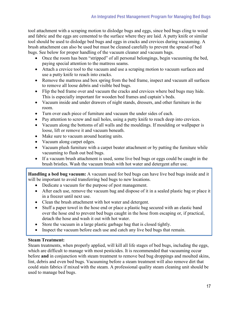tool attachment with a scraping motion to dislodge bugs and eggs, since bed bugs cling to wood and fabric and the eggs are cemented to the surface where they are laid. A putty knife or similar tool should be used to dislodge bed bugs and eggs in cracks and crevices during vacuuming. A brush attachment can also be used but must be cleaned carefully to prevent the spread of bed bugs. See below for proper handling of the vacuum cleaner and vacuum bags.

- Once the room has been "stripped" of all personal belongings, begin vacuuming the bed, paying special attention to the mattress seams.
- Attach a crevice tool to the vacuum and use a scraping motion to vacuum surfaces and use a putty knife to reach into cracks.
- Remove the mattress and box spring from the bed frame, inspect and vacuum all surfaces to remove all loose debris and visible bed bugs.
- Flip the bed frame over and vacuum the cracks and crevices where bed bugs may hide. This is especially important for wooden bed frames and captain's beds.
- Vacuum inside and under drawers of night stands, dressers, and other furniture in the room.
- Turn over each piece of furniture and vacuum the under sides of each.
- Pay attention to screw and nail holes, using a putty knife to reach deep into crevices.
- Vacuum along the bottoms of all walls and the mouldings. If moulding or wallpaper is loose, lift or remove it and vacuum beneath.
- Make sure to vacuum around heating units.
- Vacuum along carpet edges.
- Vacuum plush furniture with a carpet beater attachment or by patting the furniture while vacuuming to flush out bed bugs.
- If a vacuum brush attachment is used, some live bed bugs or eggs could be caught in the brush bristles. Wash the vacuum brush with hot water and detergent after use.

**Handling a bed bug vacuum:** A vacuum used for bed bugs can have live bed bugs inside and it will be important to avoid transferring bed bugs to new locations.

- Dedicate a vacuum for the purpose of pest management.
- After each use, remove the vacuum bag and dispose of it in a sealed plastic bag or place it in a freezer until next use.
- Clean the brush attachment with hot water and detergent.
- Stuff a paper towel in the hose end or place a plastic bag secured with an elastic band over the hose end to prevent bed bugs caught in the hose from escaping or, if practical, detach the hose and wash it out with hot water.
- Store the vacuum in a large plastic garbage bag that is closed tightly.
- Inspect the vacuum before each use and catch any live bed bugs that remain.

#### **Steam Treatment:**

Steam treatments, when properly applied, will kill all life stages of bed bugs, including the eggs, which are difficult to manage with most pesticides. It is recommended that vacuuming occur before **and** in conjunction with steam treatment to remove bed bug droppings and moulted skins, lint, debris and even bed bugs. Vacuuming before a steam treatment will also remove dirt that could stain fabrics if mixed with the steam. A professional quality steam cleaning unit should be used to manage bed bugs.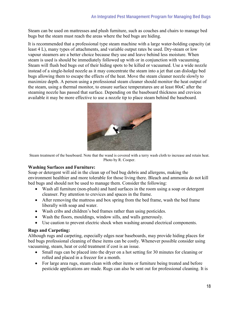Steam can be used on mattresses and plush furniture, such as couches and chairs to manage bed bugs but the steam must reach the areas where the bed bugs are hiding.

It is recommended that a professional type steam machine with a large water-holding capacity (at least 4 L), many types of attachments, and variable output rates be used. Dry-steam or low vapour steamers are a better choice because they use and leave behind less moisture. When steam is used is should be immediately followed up with or in conjunction with vacuuming. Steam will flush bed bugs out of their hiding spots to be killed or vacuumed. Use a wide nozzle instead of a single-holed nozzle as it may concentrate the steam into a jet that can dislodge bed bugs allowing them to escape the effects of the heat. Move the steam cleaner nozzle slowly to maximize depth. A person using a professional steam cleaner should monitor the heat output of the steam, using a thermal monitor, to ensure surface temperatures are at least 80oC after the steaming nozzle has passed that surface. Depending on the baseboard thickness and crevices available it may be more effective to use a nozzle tip to place steam behind the baseboard.



Steam treatment of the baseboard. Note that the wand is covered with a terry wash cloth to increase and retain heat. Photo by R. Cooper.

#### **Washing Surfaces and Furniture:**

Soap or detergent will aid in the clean up of bed bug debris and allergens, making the environment healthier and more tolerable for those living there. Bleach and ammonia do not kill bed bugs and should not be used to manage them. Consider the following:

- Wash all furniture (non-plush) and hard surfaces in the room using a soap or detergent cleanser. Pay attention to crevices and spaces in the frame.
- After removing the mattress and box spring from the bed frame, wash the bed frame liberally with soap and water.
- Wash cribs and children's bed frames rather than using pesticides.
- Wash the floors, mouldings, window sills, and walls generously.
- Use caution to prevent electric shock when washing around electrical components.

#### **Rugs and Carpeting:**

Although rugs and carpeting, especially edges near baseboards, may provide hiding places for bed bugs professional cleaning of these items can be costly. Whenever possible consider using vacuuming, steam, heat or cold treatment if cost is an issue.

- Small rugs can be placed into the dryer on a hot setting for 30 minutes for cleaning or rolled and placed in a freezer for a month.
- For large area rugs, steam clean with other items or furniture being treated and before pesticide applications are made. Rugs can also be sent out for professional cleaning. It is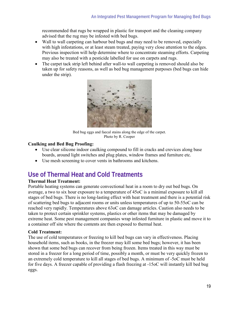recommended that rugs be wrapped in plastic for transport and the cleaning company advised that the rug may be infested with bed bugs.

- Wall to wall carpeting can harbour bed bugs and may need to be removed, especially with high infestations, or at least steam treated, paying very close attention to the edges. Previous inspection will help determine where to concentrate steaming efforts. Carpeting may also be treated with a pesticide labelled for use on carpets and rugs.
- The carpet tack strip left behind after wall-to wall carpeting is removed should also be taken up for safety reasons, as well as bed bug management purposes (bed bugs can hide under the strip).



Bed bug eggs and faecal stains along the edge of the carpet. Photo by R. Cooper

#### **Caulking and Bed Bug Proofing:**

- Use clear silicone indoor caulking compound to fill in cracks and crevices along base boards, around light switches and plug plates, window frames and furniture etc.
- Use mesh screening to cover vents in bathrooms and kitchens.

# **Use of Thermal Heat and Cold Treatments**

#### **Thermal Heat Treatment:**

Portable heating systems can generate convectional heat in a room to dry out bed bugs. On average, a two to six hour exposure to a temperature of 45oC is a minimal exposure to kill all stages of bed bugs. There is no long-lasting effect with heat treatment and there is a potential risk of scattering bed bugs to adjacent rooms or units unless temperatures of up to 50-55oC can be reached very rapidly. Temperatures above 63oC can damage articles. Caution also needs to be taken to protect certain sprinkler systems, plastics or other items that may be damaged by extreme heat. Some pest management companies wrap infested furniture in plastic and move it to a container off site where the contents are then exposed to thermal heat.

#### **Cold Treatment:**

The use of cold temperatures or freezing to kill bed bugs can vary in effectiveness. Placing household items, such as books, in the freezer may kill some bed bugs; however, it has been shown that some bed bugs can recover from being frozen. Items treated in this way must be stored in a freezer for a long period of time, possibly a month, or must be very quickly frozen to an extremely cold temperature to kill all stages of bed bugs. A minimum of -5oC must be held for five days. A freezer capable of providing a flash freezing at -15oC will instantly kill bed bug eggs.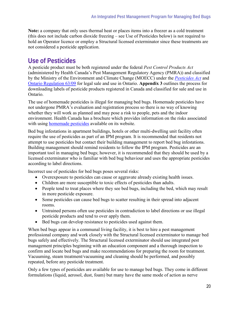**Note:** a company that only uses thermal heat or places items into a freezer as a cold treatment (this does not include carbon dioxide freezing – see Use of Pesticides below) is not required to hold an Operator licence or employ a Structural licensed exterminator since these treatments are not considered a pesticide application.

# **Use of Pesticides**

A pesticide product must be both registered under the federal *Pest Control Products Act*  (administered by Health Canada's Pest Management Regulatory Agency (PMRA)) and classified by the Ministry of the Environment and Climate Change (MOECC) under the *[Pesticides Act](http://www.ontario.ca/laws/statute/90p11?search=Pesticides+Act)* and [Ontario Regulation 63/09](http://www.ontario.ca/laws/regulation/090063?search=Pesticides+Act) for legal sale and use in Ontario. **Appendix 3** outlines the process for downloading labels of pesticide products registered in Canada and classified for sale and use in Ontario.

The use of homemade pesticides is illegal for managing bed bugs. Homemade pesticides have not undergone PMRA's evaluation and registration process so there is no way of knowing whether they will work as planned and may pose a risk to people, pets and the indoor environment. Health Canada has a brochure which provides information on the risks associated with using [homemade pesticides](http://www.healthycanadians.gc.ca/healthy-living-vie-saine/environment-environnement/pesticides/homemade-maison-eng.php) available on its website.

Bed bug infestations in apartment buildings, hotels or other multi-dwelling unit facility often require the use of pesticides as part of an IPM program. It is recommended that residents not attempt to use pesticides but contact their building management to report bed bug infestations. Building management should remind residents to follow the IPM program. Pesticides are an important tool in managing bed bugs; however, it is recommended that they should be used by a licensed exterminator who is familiar with bed bug behaviour and uses the appropriate pesticides according to label directions.

Incorrect use of pesticides for bed bugs poses several risks:

- Overexposure to pesticides can cause or aggravate already existing health issues.
- Children are more susceptible to toxic effects of pesticides than adults.
- People tend to treat places where they see bed bugs, including the bed, which may result in more pesticide exposure.
- Some pesticides can cause bed bugs to scatter resulting in their spread into adjacent rooms.
- Untrained persons often use pesticides in contradiction to label directions or use illegal pesticide products and tend to over apply them.
- Bed bugs can develop resistance to pesticides used against them.

When bed bugs appear in a communal living facility, it is best to hire a pest management professional company and work closely with the Structural licensed exterminator to manage bed bugs safely and effectively. The Structural licensed exterminator should use integrated pest management principles beginning with an education component and a thorough inspection to confirm and locate bed bugs and make recommendations for preparing the room for treatment. Vacuuming, steam treatment/vacuuming and cleaning should be performed, and possibly repeated, before any pesticide treatment.

Only a few types of pesticides are available for use to manage bed bugs. They come in different formulations (liquid, aerosol, dust, foam) but many have the same mode of action as nerve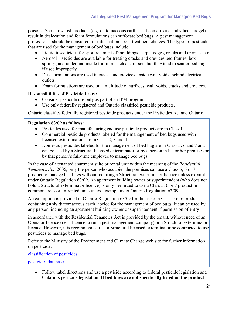poisons. Some low-risk products (e.g. diatomaceous earth as silicon dioxide and silica aerogel) result in desiccation and foam formulations can suffocate bed bugs. A pest management professional should be consulted for information about treatment choices. The types of pesticides that are used for the management of bed bugs include:

- Liquid insecticides for spot treatment of mouldings, carpet edges, cracks and crevices etc.
- Aerosol insecticides are available for treating cracks and crevices bed frames, box springs, and under and inside furniture such as dressers but they tend to scatter bed bugs if used improperly.
- Dust formulations are used in cracks and crevices, inside wall voids, behind electrical outlets.
- Foam formulations are used on a multitude of surfaces, wall voids, cracks and crevices.

#### **Responsibilities of Pesticide Users:**

- Consider pesticide use only as part of an IPM program.
- Use only federally registered and Ontario classified pesticide products.

Ontario classifies federally registered pesticide products under the Pesticides Act and Ontario

#### **Regulation 63/09 as follows:**

- Pesticides used for manufacturing end use pesticide products are in Class 1.
- Commercial pesticide products labeled for the management of bed bugs used with licensed exterminators are in Class 2, 3 and 4.
- Domestic pesticides labeled for the management of bed bug are in Class 5, 6 and 7 and can be used by a Structural licensed exterminator or by a person in his or her premises or by that person's full-time employee to manage bed bugs.

In the case of a tenanted apartment suite or rental unit within the meaning of the *Residential Tenancies Act,* 2006, only the person who occupies the premises can use a Class 5, 6 or 7 product to manage bed bugs without requiring a Structural exterminator licence unless exempt under Ontario Regulation 63/09. An apartment building owner or superintendent (who does not hold a Structural exterminator licence) is only permitted to use a Class 5, 6 or 7 product in common areas or un-rented units unless exempt under Ontario Regulation 63/09.

An exemption is provided in Ontario Regulation 63/09 for the use of a Class 5 or 6 product containing **only** diatomaceous earth labeled for the management of bed bugs. It can be used by any person, including an apartment building owner or superintendent if permission of entry

in accordance with the Residential Tenancies Act is provided by the tenant, without need of an Operator licence (i.e. a licence to run a pest management company) or a Structural exterminator licence. However, it is recommended that a Structural licensed exterminator be contracted to use pesticides to manage bed bugs.

Refer to the Ministry of the Environment and Climate Change web site for further information on pesticide;

[classification of pesticides](http://www.ontario.ca/environment-and-energy/classification-pesticides)

[pesticides database](https://www.lrcsde.lrc.gov.on.ca/PCDWeb/home.action)

• Follow label directions and use a pesticide according to federal pesticide legislation and Ontario's pesticide legislation. **If bed bugs are not specifically listed on the product**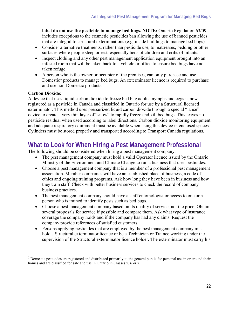**label do not use the pesticide to manage bed bugs. NOTE:** Ontario Regulation 63/09 includes exceptions to the cosmetic pesticides ban allowing the use of banned pesticides that are integral to structural exterminations (e.g. inside buildings to manage bed bugs).

- Consider alternative treatments, rather than pesticide use, to mattresses, bedding or other surfaces where people sleep or rest, especially beds of children and cribs of infants.
- Inspect clothing and any other pest management application equipment brought into an infested room that will be taken back to a vehicle or office to ensure bed bugs have not taken refuge.
- A person who is the owner or occupier of the premises, can only purchase and use Domestic<sup>[‡](#page-21-0)</sup> products to manage bed bugs. An exterminator licence is required to purchase and use non-Domestic products.

#### **Carbon Dioxide:**

A device that uses liquid carbon dioxide to freeze bed bug adults, nymphs and eggs is now registered as a pesticide in Canada and classified in Ontario for use by a Structural licensed exterminator. This method uses pressurized liquid carbon dioxide through a special "lance" device to create a very thin layer of "snow" to rapidly freeze and kill bed bugs. This leaves no pesticide residual when used according to label directions. Carbon dioxide monitoring equipment and adequate respiratory equipment must be available when using this device in enclosed spaces. Cylinders must be stored properly and transported according to Transport Canada regulations.

# **What to Look for When Hiring a Pest Management Professional**

The following should be considered when hiring a pest management company:

- The pest management company must hold a valid Operator licence issued by the Ontario Ministry of the Environment and Climate Change to run a business that uses pesticides.
- Choose a pest management company that is a member of a professional pest management association. Member companies will have an established place of business, a code of ethics and ongoing training programs. Ask how long they have been in business and how they train staff. Check with better business services to check the record of company business practices.
- The pest management company should have a staff entomologist or access to one or a person who is trained to identify pests such as bed bugs.
- Choose a pest management company based on its quality of service, not the price. Obtain several proposals for service if possible and compare them. Ask what type of insurance coverage the company holds and if the company has had any claims. Request the company provide references of satisfied customers.
- Persons applying pesticides that are employed by the pest management company must hold a Structural exterminator licence or be a Technician or Trainee working under the supervision of the Structural exterminator licence holder. The exterminator must carry his

<span id="page-21-0"></span><sup>‡</sup> Domestic pesticides are registered and distributed primarily to the general public for personal use in or around their homes and are classified for sale and use in Ontario in Classes 5, 6 or 7.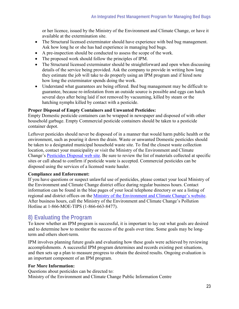or her licence, issued by the Ministry of the Environment and Climate Change, or have it available at the extermination site.

- The Structural licensed exterminator should have experience with bed bug management. Ask how long he or she has had experience in managing bed bugs.
- A pre-inspection should be conducted to assess the scope of the work.
- The proposed work should follow the principles of IPM.
- The Structural licensed exterminator should be straightforward and open when discussing details of the service being provided. Ask the company to provide in writing how long they estimate the job will take to do properly using an IPM program and if hired note how long the exterminator spends doing the work.
- Understand what guarantees are being offered. Bed bug management may be difficult to guarantee, because re-infestation from an outside source is possible and eggs can hatch several days after being laid if not removed by vacuuming, killed by steam or the hatching nymphs killed by contact with a pesticide.

#### **Proper Disposal of Empty Containers and Unwanted Pesticides:**

Empty Domestic pesticide containers can be wrapped in newspaper and disposed of with other household garbage. Empty Commercial pesticide containers should be taken to a pesticide container depot.

Leftover pesticides should never be disposed of in a manner that would harm public health or the environment, such as pouring it down the drain. Waste or unwanted Domestic pesticides should be taken to a designated municipal household waste site. To find the closest waste collection location, contact your municipality or visit the Ministry of the Environment and Climate Change's [Pesticides Disposal web site.](http://www.ontario.ca/environment-and-energy/pesticides-home-lawns-and-gardens%23section-3) Be sure to review the list of materials collected at specific sites or call ahead to confirm if pesticide waste is accepted. Commercial pesticides can be disposed using the services of a licensed waste hauler.

#### **Compliance and Enforcement:**

If you have questions or suspect unlawful use of pesticides, please contact your local Ministry of the Environment and Climate Change district office during regular business hours. Contact information can be found in the blue pages of your local telephone directory or see a listing of regional and district offices on the [Ministry of the Environment and Climate Change's website.](https://www.ontario.ca/environment-and-energy/ministry-environment-and-climate-change-regional-and-district-offices) After business hours, call the Ministry of the Environment and Climate Change's Pollution Hotline at 1-866-MOE-TIPS (1-866-663-8477).

## **8) Evaluating the Program**

To know whether an IPM program is successful, it is important to lay out what goals are desired and to determine how to monitor the success of the goals over time. Some goals may be longterm and others short-term.

IPM involves planning future goals and evaluating how these goals were achieved by reviewing accomplishments. A successful IPM program determines and records existing pest situations, and then sets up a plan to measure progress to obtain the desired results. Ongoing evaluation is an important component of an IPM program.

#### **For More Information:**

Questions about pesticides can be directed to: Ministry of the Environment and Climate Change Public Information Centre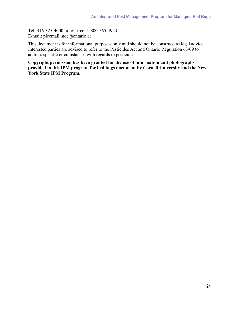Tel: 416-325-4000 or toll free: 1-800-565-4923 E-mail: picemail.moe@ontario.ca

This document is for informational purposes only and should not be construed as legal advice. Interested parties are advised to refer to the Pesticides Act and Ontario Regulation 63/09 to address specific circumstances with regards to pesticides.

**Copyright permission has been granted for the use of information and photographs provided in this IPM program for bed bugs document by Cornell University and the New York State IPM Program.**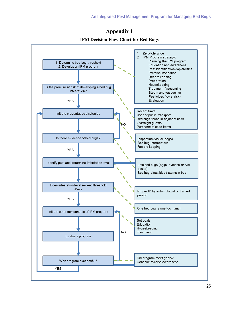Did program meet goals?

Continue to raise awareness



Was program successful?

**YES** 

**Appendix 1**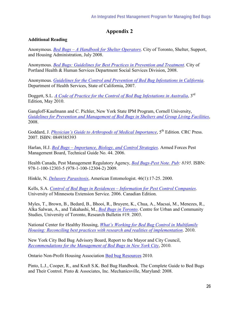### **Appendix 2**

#### **Additional Reading**

Anonymous. *[Bed Bugs – A Handbook for Shelter Operators](http://www.toronto.ca/housing/pdf/bedbug.pdf)*. City of Toronto, Shelter, Support, and Housing Administration, July 2008.

Anonymous. *[Bed Bugs: Guidelines for Best Practices in Prevention and Treatment](http://www.portlandmaine.gov/hhs/hhsbedbugsmanual.pdf)*. City of Portland Health & Human Services Department Social Services Division, 2008.

Anonymous. *[Guidelines for the Control and Prevention of Bed Bug Infestations in California](http://www.cdph.ca.gov/pubsforms/Guidelines/Documents/CaliforniaBedBugGuidelines.pdf)*. Department of Health Services, State of California, 2007.

Doggett, S.L. *[A Code of Practice for the Control of Bed Bug Infestations in Australia](http://www.bedbug.org.au/)*. 3<sup>rd</sup> Edition, May 2010.

Gangloff-Kaufmann and C. Pichler, New York State IPM Program, Cornell University, *[Guidelines for Prevention and Management of Bed Bugs in Shelters and Group Living Facilities](http://www.nysipm.cornell.edu/publications/bb_guidelines/)*, 2008.

Goddard, J. *[Physician's Guide to Arthropods of Medical Importance](http://www.crcpress.com/product/isbn/9780849385391)*, 5<sup>th</sup> Edition. CRC Press. 2007. ISBN: 0849385393

Harlan, H.J. *[Bed Bugs – Importance, Biology, and Control Strategies](http://www.afpmb.org/pubs/tims/TG44/TG44.pdf)*. Armed Forces Pest Management Board, Technical Guide No. 44. 2006.

Health Canada, Pest Management Regulatory Agency, *[Bed Bugs-Pest Note. Pub:](http://www.hc-sc.gc.ca/cps-spc/pubs/pest/_pnotes/bedbugs-punaises-lits/index-eng.php) 8195*. ISBN: 978-1-100-12303-5 (978-1-100-12304-2) 2009.

Hinkle, N. *[Delusory Parasitosis](http://www.ent.uga.edu/pubs/delusory.pdf)*, American Entomologist. 46(1):17-25. 2000.

Kells, S.A. *[Control of Bed Bugs in Residences – Information for Pest Control Companies](http://www.ipmctoc.umn.edu/Control_of_bedbugs_in_residences_CDN_Commercial.pdf)*. University of Minnesota Extension Service. 2006. Canadian Edition.

Myles, T., Brown, B., Bedard, B., Bhooi, R., Bruyere, K., Chua, A., Macsai, M., Menezes, R., Alka Salwan, A., and Takahashi, M., *[Bed Bugs in Toronto](http://www.urbancentre.utoronto.ca/pdfs/researchbulletins/19.pdf)*. Centre for Urban and Community Studies, University of Toronto, Research Bulletin #19. 2003.

National Center for Healthy Housing, *[What's Working for Bed Bug Control in Multifamily](http://www.nchh.org/Portals/0/Contents/bedbug_report.pdf) [Housing: Reconciling best practices with research and realities of implementation](http://www.nchh.org/Portals/0/Contents/bedbug_report.pdf)*. 2010.

New York City Bed Bug Advisory Board, Report to the Mayor and City Council, *[Recommendations for the Management of Bed Bugs in New York City](http://newyorkvsbedbugs.org/wp-content/uploads/2010/07/Bed-Bug-Advisory-Board-Report-FINAL.pdf)*, 2010.

Ontario Non-Profit Housing Association [Bed bug Resources](http://www.onpha.on.ca/AM/Template.cfm?Section=Bed_Bug_Toolkit) 2010.

Pinto, L.J., Cooper, R., and Kraft S.K. Bed Bug Handbook. The Complete Guide to Bed Bugs and Their Control. Pinto & Associates, Inc. Mechanicsville, Maryland: 2008.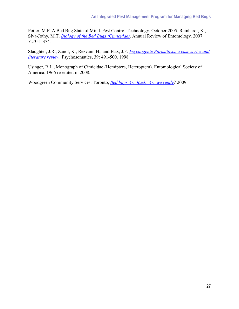Potter, M.F. A Bed Bug State of Mind. Pest Control Technology. October 2005. Reinhardt, K., Siva-Jothy, M.T. *[Biology of the Bed Bugs \(Cimicidae\)](http://www.annualreviews.org/doi/pdf/10.1146/annurev.ento.52.040306.133913)*. Annual Review of Entomology. 2007. 52:351-374.

Slaughter, J.R., Zanol, K., Rezvani, H., and Flax, J.F. *[Psychogenic Parasitosis, a case series and](http://psy.psychiatryonline.org/cgi/reprint/39/6/491)  [literature review](http://psy.psychiatryonline.org/cgi/reprint/39/6/491)*. Psychosomatics, 39: 491-500. 1998.

Usinger, R.L., Monograph of Cimicidae (Hemiptera, Heteroptera). Entomological Society of America. 1966 re-edited in 2008.

Woodgreen Community Services, Toronto, *[Bed bugs Are Back- Are we ready](http://www.woodgreen.org/LinkClick.aspx?fileticket=6WSSiMTtpGY%3D&tabid=115)*? 2009.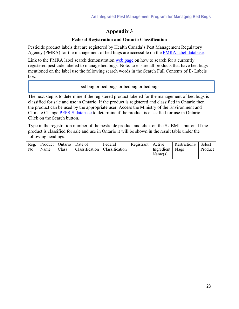## **Appendix 3**

#### **Federal Registration and Ontario Classification**

Pesticide product labels that are registered by Health Canada's Pest Management Regulatory Agency (PMRA) for the management of bed bugs are accessible on the [PMRA label database.](http://pr-rp.hc-sc.gc.ca/ls-re/index-eng.php)

Link to the PMRA label search demonstration [web page](http://www.hc-sc.gc.ca/cps-spc/pest/registrant-titulaire/tools-outils/label-etiq-eng.php) on how to search for a currently registered pesticide labeled to manage bed bugs. Note: to ensure all products that have bed bugs mentioned on the label use the following search words in the Search Full Contents of E- Labels box:

#### bed bug or bed bugs or bedbug or bedbugs

The next step is to determine if the registered product labeled for the management of bed bugs is classified for sale and use in Ontario. If the product is registered and classified in Ontario then the product can be used by the appropriate user. Access the Ministry of the Environment and Climate Change [PEPSIS database](http://app.ene.gov.on.ca/pepsis/) to determine if the product is classified for use in Ontario Click on the Search button.

Type in the registration number of the pesticide product and click on the SUBMIT button. If the product is classified for sale and use in Ontario it will be shown in the result table under the following headings.

|    | Reg.   Product   Ontario   Date of |       |                                 | Federal | Registrant   Active |                  | Restrictions/ | <b>Select</b> |
|----|------------------------------------|-------|---------------------------------|---------|---------------------|------------------|---------------|---------------|
| No | Name                               | Class | Classification   Classification |         |                     | Ingredient Flags |               | Product       |
|    |                                    |       |                                 |         |                     | Name(s)          |               |               |